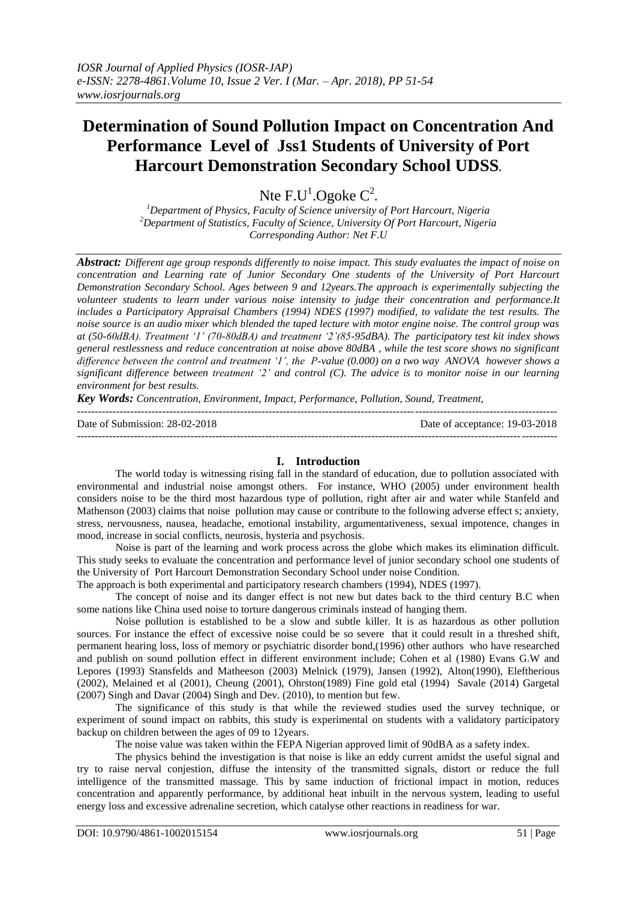# **Determination of Sound Pollution Impact on Concentration And Performance Level of Jss1 Students of University of Port Harcourt Demonstration Secondary School UDSS.**

Nte  $F.U^1.Ogoke C^2$ .

*<sup>1</sup>Department of Physics, Faculty of Science university of Port Harcourt, Nigeria <sup>2</sup>Department of Statistics, Faculty of Science, University Of Port Harcourt, Nigeria Corresponding Author: Net F.U*

*Abstract: Different age group responds differently to noise impact. This study evaluates the impact of noise on concentration and Learning rate of Junior Secondary One students of the University of Port Harcourt Demonstration Secondary School. Ages between 9 and 12years.The approach is experimentally subjecting the volunteer students to learn under various noise intensity to judge their concentration and performance.It includes a Participatory Appraisal Chambers (1994) NDES (1997) modified, to validate the test results. The noise source is an audio mixer which blended the taped lecture with motor engine noise. The control group was at (50-60dBA). Treatment '1' (70-80dBA) and treatment '2'(85-95dBA). The participatory test kit index shows general restlessness and reduce concentration at noise above 80dBA , while the test score shows no significant difference between the control and treatment '1', the P-value (0.000) on a two way ANOVA however shows a significant difference between treatment '2' and control (C). The advice is to monitor noise in our learning environment for best results.* 

*Key Words: Concentration, Environment, Impact, Performance, Pollution, Sound, Treatment,* 

| Date of Submission: 28-02-2018 | Date of acceptance: 19-03-2018 |
|--------------------------------|--------------------------------|
|                                |                                |

## **I. Introduction**

The world today is witnessing rising fall in the standard of education, due to pollution associated with environmental and industrial noise amongst others. For instance, WHO (2005) under environment health considers noise to be the third most hazardous type of pollution, right after air and water while Stanfeld and Mathenson (2003) claims that noise pollution may cause or contribute to the following adverse effect s; anxiety, stress, nervousness, nausea, headache, emotional instability, argumentativeness, sexual impotence, changes in mood, increase in social conflicts, neurosis, hysteria and psychosis.

Noise is part of the learning and work process across the globe which makes its elimination difficult. This study seeks to evaluate the concentration and performance level of junior secondary school one students of the University of Port Harcourt Demonstration Secondary School under noise Condition.

The approach is both experimental and participatory research chambers (1994), NDES (1997).

The concept of noise and its danger effect is not new but dates back to the third century B.C when some nations like China used noise to torture dangerous criminals instead of hanging them.

Noise pollution is established to be a slow and subtle killer. It is as hazardous as other pollution sources. For instance the effect of excessive noise could be so severe that it could result in a threshed shift, permanent hearing loss, loss of memory or psychiatric disorder bond,(1996) other authors who have researched and publish on sound pollution effect in different environment include; Cohen et al (1980) Evans G.W and Lepores (1993) Stansfelds and Matheeson (2003) Melnick (1979), Jansen (1992), Alton(1990), Eleftherious (2002), Melained et al (2001), Cheung (2001), Ohrston(1989) Fine gold etal (1994) Savale (2014) Gargetal (2007) Singh and Davar (2004) Singh and Dev. (2010), to mention but few.

The significance of this study is that while the reviewed studies used the survey technique, or experiment of sound impact on rabbits, this study is experimental on students with a validatory participatory backup on children between the ages of 09 to 12years.

The noise value was taken within the FEPA Nigerian approved limit of 90dBA as a safety index.

The physics behind the investigation is that noise is like an eddy current amidst the useful signal and try to raise nerval conjestion, diffuse the intensity of the transmitted signals, distort or reduce the full intelligence of the transmitted massage. This by same induction of frictional impact in motion, reduces concentration and apparently performance, by additional heat inbuilt in the nervous system, leading to useful energy loss and excessive adrenaline secretion, which catalyse other reactions in readiness for war.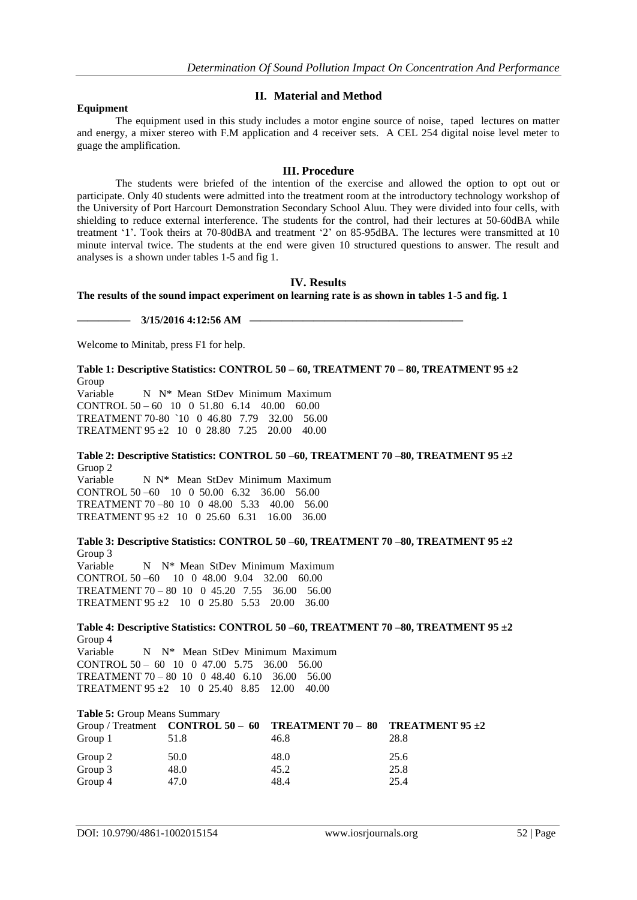#### **Equipment**

## **II. Material and Method**

The equipment used in this study includes a motor engine source of noise, taped lectures on matter and energy, a mixer stereo with F.M application and 4 receiver sets. A CEL 254 digital noise level meter to guage the amplification.

## **III. Procedure**

The students were briefed of the intention of the exercise and allowed the option to opt out or participate. Only 40 students were admitted into the treatment room at the introductory technology workshop of the University of Port Harcourt Demonstration Secondary School Aluu. They were divided into four cells, with shielding to reduce external interference. The students for the control, had their lectures at 50-60dBA while treatment '1'. Took theirs at 70-80dBA and treatment '2' on 85-95dBA. The lectures were transmitted at 10 minute interval twice. The students at the end were given 10 structured questions to answer. The result and analyses is a shown under tables 1-5 and fig 1.

## **IV. Results**

**The results of the sound impact experiment on learning rate is as shown in tables 1-5 and fig. 1**

**————— 3/15/2016 4:12:56 AM ————————————————————** 

Welcome to Minitab, press F1 for help.

**Table 1: Descriptive Statistics: CONTROL 50 – 60, TREATMENT 70 – 80, TREATMENT 95 ±2**  Group

Variable N N<sup>\*</sup> Mean StDev Minimum Maximum CONTROL 50 – 60 10 0 51.80 6.14 40.00 60.00 TREATMENT 70-80 `10 0 46.80 7.79 32.00 56.00 TREATMENT 95 ±2 10 0 28.80 7.25 20.00 40.00

**Table 2: Descriptive Statistics: CONTROL 50 –60, TREATMENT 70 –80, TREATMENT 95 ±2**  Gruop 2

Variable N N\* Mean StDev Minimum Maximum CONTROL 50 –60 10 0 50.00 6.32 36.00 56.00 TREATMENT 70 –80 10 0 48.00 5.33 40.00 56.00 TREATMENT  $95 \pm 2$  10 0 25.60 6.31 16.00 36.00

**Table 3: Descriptive Statistics: CONTROL 50 –60, TREATMENT 70 –80, TREATMENT 95 ±2**  Group 3 Variable N N\* Mean StDev Minimum Maximum CONTROL 50 –60 10 0 48.00 9.04 32.00 60.00 TREATMENT 70 – 80 10 0 45.20 7.55 36.00 56.00 TREATMENT 95 ±2 10 0 25.80 5.53 20.00 36.00

**Table 4: Descriptive Statistics: CONTROL 50 –60, TREATMENT 70 –80, TREATMENT 95 ±2**  Group 4 Variable N N<sup>\*</sup> Mean StDev Minimum Maximum CONTROL 50 – 60 10 0 47.00 5.75 36.00 56.00 TREATMENT 70 – 80 10 0 48.40 6.10 36.00 56.00 TREATMENT 95 ±2 10 0 25.40 8.85 12.00 40.00

| <b>Table 5: Group Means Summary</b> |      |                                                                          |      |  |
|-------------------------------------|------|--------------------------------------------------------------------------|------|--|
|                                     |      | Group / Treatment CONTROL 50 – 60 TREATMENT 70 – 80 TREATMENT 95 $\pm 2$ |      |  |
| Group 1                             | 51.8 | 46.8                                                                     | 28.8 |  |
| Group 2                             | 50.0 | 48.0                                                                     | 25.6 |  |
| Group 3                             | 48.0 | 45.2                                                                     | 25.8 |  |
| Group 4                             | 47.0 | 48.4                                                                     | 25.4 |  |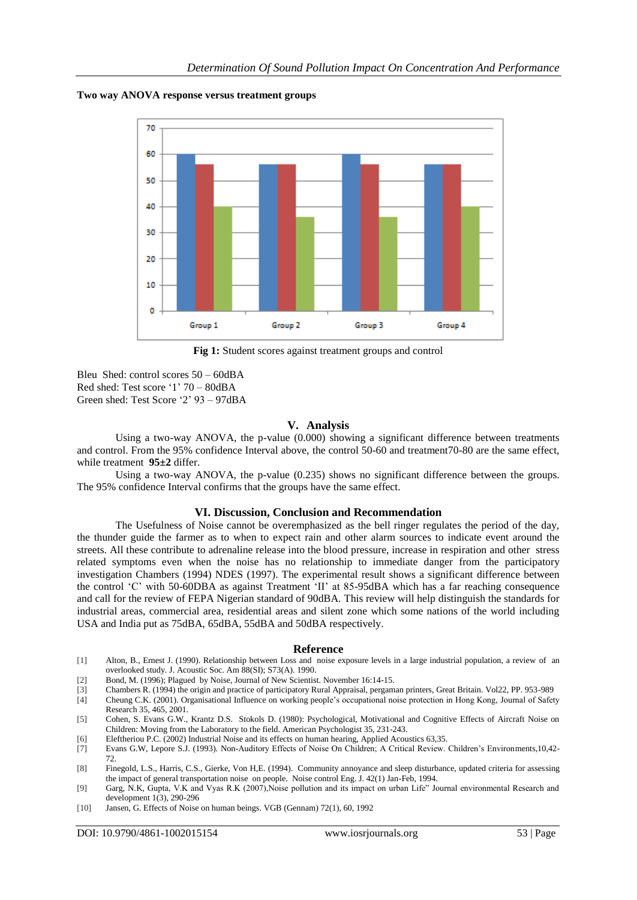#### **Two way ANOVA response versus treatment groups**



**Fig 1:** Student scores against treatment groups and control

Bleu Shed: control scores 50 – 60dBA Red shed: Test score "1" 70 – 80dBA Green shed: Test Score "2" 93 – 97dBA

#### **V. Analysis**

Using a two-way ANOVA, the p-value (0.000) showing a significant difference between treatments and control. From the 95% confidence Interval above, the control 50-60 and treatment70-80 are the same effect, while treatment **95±2** differ.

Using a two-way ANOVA, the p-value (0.235) shows no significant difference between the groups. The 95% confidence Interval confirms that the groups have the same effect.

#### **VI. Discussion, Conclusion and Recommendation**

The Usefulness of Noise cannot be overemphasized as the bell ringer regulates the period of the day, the thunder guide the farmer as to when to expect rain and other alarm sources to indicate event around the streets. All these contribute to adrenaline release into the blood pressure, increase in respiration and other stress related symptoms even when the noise has no relationship to immediate danger from the participatory investigation Chambers (1994) NDES (1997). The experimental result shows a significant difference between the control "C" with 50-60DBA as against Treatment "II" at 85-95dBA which has a far reaching consequence and call for the review of FEPA Nigerian standard of 90dBA. This review will help distinguish the standards for industrial areas, commercial area, residential areas and silent zone which some nations of the world including USA and India put as 75dBA, 65dBA, 55dBA and 50dBA respectively.

#### **Reference**

- [1] Alton, B., Ernest J. (1990). Relationship between Loss and noise exposure levels in a large industrial population, a review of an overlooked study. J. Acoustic Soc. Am 88(SI); S73(A). 1990.
- [2] Bond, M. (1996); Plagued by Noise, Journal of New Scientist. November 16:14-15.
- [3] Chambers R. (1994) the origin and practice of participatory Rural Appraisal, pergaman printers, Great Britain. Vol22, PP. 953-989
- [4] Cheung C.K. (2001). Organisational Influence on working people"s occupational noise protection in Hong Kong, Journal of Safety Research 35, 465, 2001.
- [5] Cohen, S. Evans G.W., Krantz D.S. Stokols D. (1980): Psychological, Motivational and Cognitive Effects of Aircraft Noise on Children: Moving from the Laboratory to the field. American Psychologist 35, 231-243.
- [6] Eleftheriou P.C. (2002) Industrial Noise and its effects on human hearing, Applied Acoustics 63,35.
- [7] Evans G.W, Lepore S.J. (1993). Non-Auditory Effects of Noise On Children; A Critical Review. Children"s Environments,10,42- 72.
- [8] Finegold, L.S., Harris, C.S., Gierke, Von H,E. (1994). Community annoyance and sleep disturbance, updated criteria for assessing the impact of general transportation noise on people. Noise control Eng. J. 42(1) Jan-Feb, 1994.
- [9] Garg, N.K, Gupta, V.K and Vyas R.K (2007),Noise pollution and its impact on urban Life" Journal environmental Research and development 1(3), 290-296
- [10] Jansen, G. Effects of Noise on human beings. VGB (Gennam) 72(1), 60, 1992